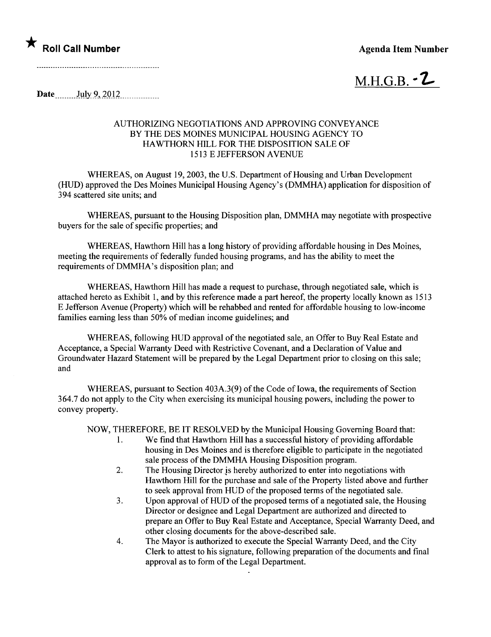

 $M.H.G.B. \cdot Z$ 

Date  $_{\text{July }9, 2012}$ 

## AUTHORIZING NEGOTIATIONS AND APPROVING CONVEYANCE BY THE DES MOINES MUNICIPAL HOUSING AGENCY TO HAWTHORN HILL FOR THE DISPOSITION SALE OF 1513 E JEFFERSON AVENU

WHREAS, on August 19,2003, the U.S. Department of Housing and Urban Development (HUD) approved the Des Moines Municipal Housing Agency's (DMMHA) application for disposition of 394 scattered site units; and

WHEREAS, pursuant to the Housing Disposition plan, DMMHA may negotiate with prospective buyers for the sale of specific properties; and

WHEREAS, Hawthorn Hill has a long history of providing affordable housing in Des Moines, meeting the requirements of federally funded housing programs, and has the abilty to meet the requirements of DMMHA's disposition plan; and

WHEREAS, Hawthorn Hill has made a request to purchase, through negotiated sale, which is attached hereto as Exhibit 1, and by this reference made a part hereof, the property locally known as 1513 E Jefferson Avenue (Property) which will be rehabbed and rented for affordable housing to low-income familes earning less than 50% of median income guidelines; and

WHEREAS, following HUD approval of the negotiated sale, an Offer to Buy Real Estate and Acceptance, a Special Warranty Deed with Restrictive Covenant, and a Declaration of Value and Groundwater Hazard Statement wil be prepared by the Legal Deparment prior to closing on this sale; and

WHEREAS, pursuant to Section  $403A.3(9)$  of the Code of Iowa, the requirements of Section 364.7 do not apply to the City when exercising its municipal housing powers, including the power to convey property.

NOW, THEREFORE, BE IT RESOLVED by the Municipal Housing Governing Board that:

- 1. We find that Hawthorn Hil has a successful history of providing affordable housing in Des Moines and is therefore eligible to participate in the negotiated sale process of the DMMHA Housing Disposition program.
- 2. The Housing Director is hereby authorized to enter into negotiations with Hawthorn Hill for the purchase and sale of the Property listed above and further to seek approval from HUD of the proposed terms of the negotiated sale.
- 3. Upon approval of HUD of the proposed terms of a negotiated sale, the Housing Director or designee and Legal Department are authorized and directed to prepare an Offer to Buy Real Estate and Acceptance, Special Warranty Deed, and other closing documents for the above-described sale.
- 4. The Mayor is authorized to execute the Special Warranty Deed, and the City Clerk to attest to his signature, following preparation of the documents and final approval as to form of the Legal Department.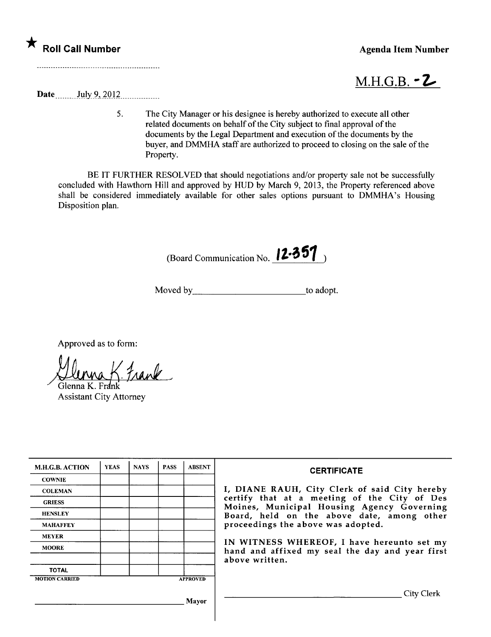

 $M.H.G.B. - Z$ 

Date  $_{\text{July }9,2012}$ 

5. The City Manager or his designee is hereby authorized to execute all other related documents on behalf of the City subject to final approval of the documents by the Legal Department and execution of the documents by the buyer, and DMMHA staff are authorized to proceed to closing on the sale of the Property.

BE IT FURTHER RESOLVED that should negotiations and/or property sale not be successfully concluded with Hawthorn Hill and approved by HUD by March 9, 2013, the Property referenced above shall be considered immediately available for other sales options pursuant to DMMHA's Housing Disposition plan.

(Board Communication No.  $12.351$ )

Moved by to adopt.

Approved as to form:<br> $M_{MMA}$  / frank

Glenna K. Frank Assistant City Attorney

| <b>M.H.G.B. ACTION</b> | <b>YEAS</b> | <b>NAYS</b> | <b>PASS</b> | <b>ABSENT</b>   | <b>CERTIFICATE</b>                                                                                                                                                                                                                                                                                                               |  |
|------------------------|-------------|-------------|-------------|-----------------|----------------------------------------------------------------------------------------------------------------------------------------------------------------------------------------------------------------------------------------------------------------------------------------------------------------------------------|--|
| <b>COWNIE</b>          |             |             |             |                 | I, DIANE RAUH, City Clerk of said City hereby<br>certify that at a meeting of the City of Des<br>Moines, Municipal Housing Agency Governing<br>Board, held on the above date, among other<br>proceedings the above was adopted.<br>IN WITNESS WHEREOF, I have hereunto set my<br>hand and affixed my seal the day and year first |  |
| <b>COLEMAN</b>         |             |             |             |                 |                                                                                                                                                                                                                                                                                                                                  |  |
| <b>GRIESS</b>          |             |             |             |                 |                                                                                                                                                                                                                                                                                                                                  |  |
| <b>HENSLEY</b>         |             |             |             |                 |                                                                                                                                                                                                                                                                                                                                  |  |
| <b>MAHAFFEY</b>        |             |             |             |                 |                                                                                                                                                                                                                                                                                                                                  |  |
| <b>MEYER</b>           |             |             |             |                 |                                                                                                                                                                                                                                                                                                                                  |  |
| <b>MOORE</b>           |             |             |             |                 |                                                                                                                                                                                                                                                                                                                                  |  |
|                        |             |             |             |                 | above written.                                                                                                                                                                                                                                                                                                                   |  |
| <b>TOTAL</b>           |             |             |             |                 |                                                                                                                                                                                                                                                                                                                                  |  |
| <b>MOTION CARRIED</b>  |             |             |             | <b>APPROVED</b> |                                                                                                                                                                                                                                                                                                                                  |  |
|                        |             |             |             |                 | City Clerk                                                                                                                                                                                                                                                                                                                       |  |
| Mayor                  |             |             |             |                 |                                                                                                                                                                                                                                                                                                                                  |  |